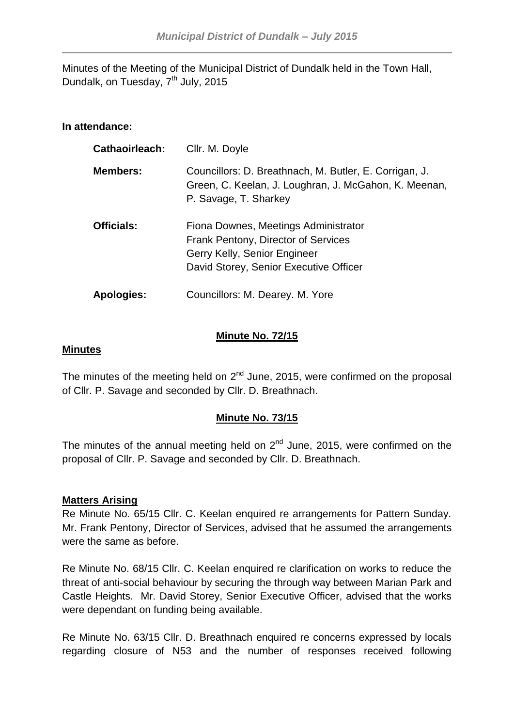Minutes of the Meeting of the Municipal District of Dundalk held in the Town Hall, Dundalk, on Tuesday, 7<sup>th</sup> July, 2015

# **In attendance:**

| <b>Cathaoirleach:</b> | Cllr. M. Doyle                                                                                                                                        |
|-----------------------|-------------------------------------------------------------------------------------------------------------------------------------------------------|
| <b>Members:</b>       | Councillors: D. Breathnach, M. Butler, E. Corrigan, J.<br>Green, C. Keelan, J. Loughran, J. McGahon, K. Meenan,<br>P. Savage, T. Sharkey              |
| <b>Officials:</b>     | Fiona Downes, Meetings Administrator<br>Frank Pentony, Director of Services<br>Gerry Kelly, Senior Engineer<br>David Storey, Senior Executive Officer |
| <b>Apologies:</b>     | Councillors: M. Dearey. M. Yore                                                                                                                       |

## **Minute No. 72/15**

### **Minutes**

The minutes of the meeting held on  $2^{nd}$  June, 2015, were confirmed on the proposal of Cllr. P. Savage and seconded by Cllr. D. Breathnach.

# **Minute No. 73/15**

The minutes of the annual meeting held on  $2<sup>nd</sup>$  June, 2015, were confirmed on the proposal of Cllr. P. Savage and seconded by Cllr. D. Breathnach.

### **Matters Arising**

Re Minute No. 65/15 Cllr. C. Keelan enquired re arrangements for Pattern Sunday. Mr. Frank Pentony, Director of Services, advised that he assumed the arrangements were the same as before.

Re Minute No. 68/15 Cllr. C. Keelan enquired re clarification on works to reduce the threat of anti-social behaviour by securing the through way between Marian Park and Castle Heights. Mr. David Storey, Senior Executive Officer, advised that the works were dependant on funding being available.

Re Minute No. 63/15 Cllr. D. Breathnach enquired re concerns expressed by locals regarding closure of N53 and the number of responses received following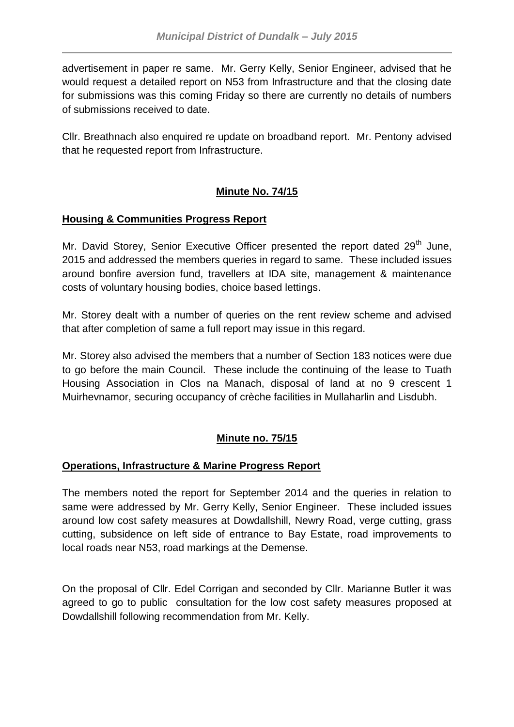advertisement in paper re same. Mr. Gerry Kelly, Senior Engineer, advised that he would request a detailed report on N53 from Infrastructure and that the closing date for submissions was this coming Friday so there are currently no details of numbers of submissions received to date.

Cllr. Breathnach also enquired re update on broadband report. Mr. Pentony advised that he requested report from Infrastructure.

# **Minute No. 74/15**

## **Housing & Communities Progress Report**

Mr. David Storey, Senior Executive Officer presented the report dated  $29<sup>th</sup>$  June, 2015 and addressed the members queries in regard to same. These included issues around bonfire aversion fund, travellers at IDA site, management & maintenance costs of voluntary housing bodies, choice based lettings.

Mr. Storey dealt with a number of queries on the rent review scheme and advised that after completion of same a full report may issue in this regard.

Mr. Storey also advised the members that a number of Section 183 notices were due to go before the main Council. These include the continuing of the lease to Tuath Housing Association in Clos na Manach, disposal of land at no 9 crescent 1 Muirhevnamor, securing occupancy of crèche facilities in Mullaharlin and Lisdubh.

# **Minute no. 75/15**

# **Operations, Infrastructure & Marine Progress Report**

The members noted the report for September 2014 and the queries in relation to same were addressed by Mr. Gerry Kelly, Senior Engineer. These included issues around low cost safety measures at Dowdallshill, Newry Road, verge cutting, grass cutting, subsidence on left side of entrance to Bay Estate, road improvements to local roads near N53, road markings at the Demense.

On the proposal of Cllr. Edel Corrigan and seconded by Cllr. Marianne Butler it was agreed to go to public consultation for the low cost safety measures proposed at Dowdallshill following recommendation from Mr. Kelly.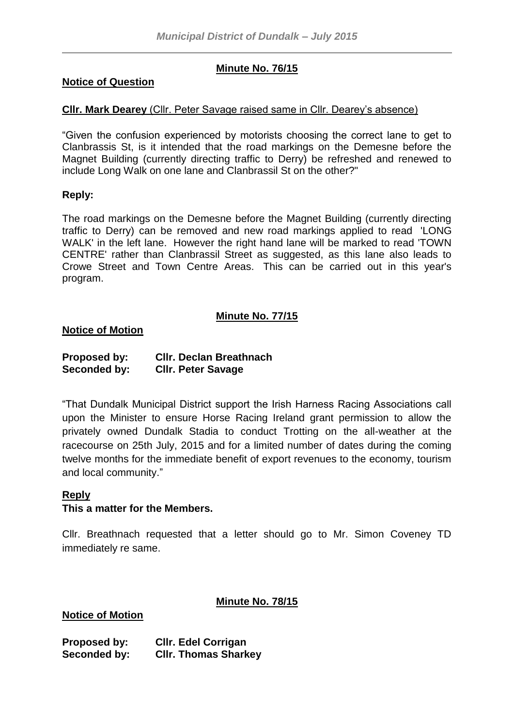# **Minute No. 76/15**

#### **Notice of Question**

## **Cllr. Mark Dearey** (Cllr. Peter Savage raised same in Cllr. Dearey's absence)

"Given the confusion experienced by motorists choosing the correct lane to get to Clanbrassis St, is it intended that the road markings on the Demesne before the Magnet Building (currently directing traffic to Derry) be refreshed and renewed to include Long Walk on one lane and Clanbrassil St on the other?"

#### **Reply:**

The road markings on the Demesne before the Magnet Building (currently directing traffic to Derry) can be removed and new road markings applied to read 'LONG WALK' in the left lane. However the right hand lane will be marked to read 'TOWN CENTRE' rather than Clanbrassil Street as suggested, as this lane also leads to Crowe Street and Town Centre Areas. This can be carried out in this year's program.

### **Minute No. 77/15**

#### **Notice of Motion**

| Proposed by: | <b>CIIr. Declan Breathnach</b> |
|--------------|--------------------------------|
| Seconded by: | <b>CIIr. Peter Savage</b>      |

"That Dundalk Municipal District support the Irish Harness Racing Associations call upon the Minister to ensure Horse Racing Ireland grant permission to allow the privately owned Dundalk Stadia to conduct Trotting on the all-weather at the racecourse on 25th July, 2015 and for a limited number of dates during the coming twelve months for the immediate benefit of export revenues to the economy, tourism and local community."

#### **Reply**

#### **This a matter for the Members.**

Cllr. Breathnach requested that a letter should go to Mr. Simon Coveney TD immediately re same.

#### **Minute No. 78/15**

#### **Notice of Motion**

| Proposed by: | <b>CIIr. Edel Corrigan</b>  |
|--------------|-----------------------------|
| Seconded by: | <b>CIIr. Thomas Sharkey</b> |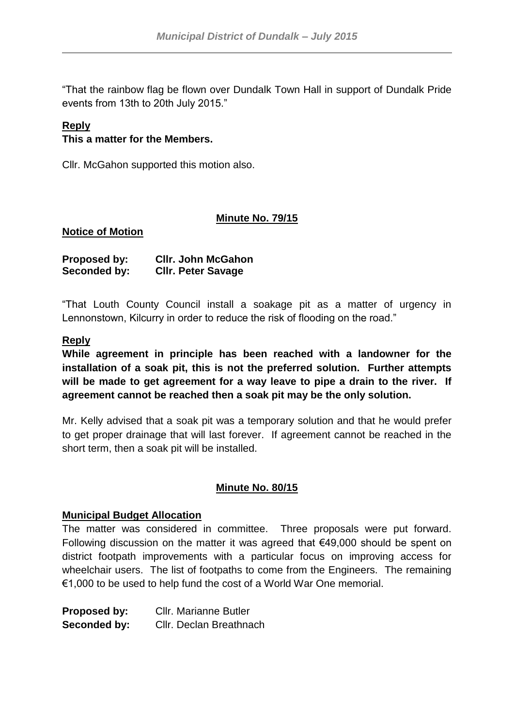"That the rainbow flag be flown over Dundalk Town Hall in support of Dundalk Pride events from 13th to 20th July 2015."

### **Reply**

### **This a matter for the Members.**

Cllr. McGahon supported this motion also.

### **Minute No. 79/15**

#### **Notice of Motion**

| Proposed by: | <b>CIIr. John McGahon</b> |
|--------------|---------------------------|
| Seconded by: | <b>CIIr. Peter Savage</b> |

"That Louth County Council install a soakage pit as a matter of urgency in Lennonstown, Kilcurry in order to reduce the risk of flooding on the road."

#### **Reply**

**While agreement in principle has been reached with a landowner for the installation of a soak pit, this is not the preferred solution. Further attempts will be made to get agreement for a way leave to pipe a drain to the river. If agreement cannot be reached then a soak pit may be the only solution.**

Mr. Kelly advised that a soak pit was a temporary solution and that he would prefer to get proper drainage that will last forever. If agreement cannot be reached in the short term, then a soak pit will be installed.

### **Minute No. 80/15**

#### **Municipal Budget Allocation**

The matter was considered in committee. Three proposals were put forward. Following discussion on the matter it was agreed that €49,000 should be spent on district footpath improvements with a particular focus on improving access for wheelchair users. The list of footpaths to come from the Engineers. The remaining €1,000 to be used to help fund the cost of a World War One memorial.

| Proposed by: | Cllr. Marianne Butler   |
|--------------|-------------------------|
| Seconded by: | Cllr. Declan Breathnach |